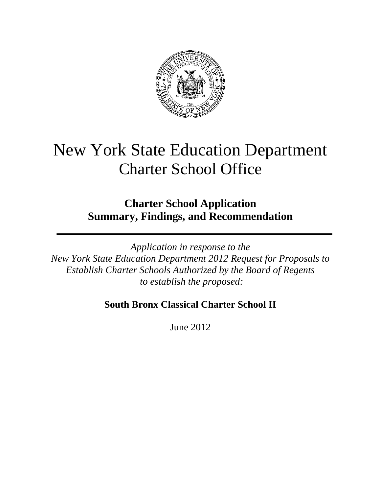

# New York State Education Department Charter School Office

**Charter School Application Summary, Findings, and Recommendation**

*Application in response to the New York State Education Department 2012 Request for Proposals to Establish Charter Schools Authorized by the Board of Regents to establish the proposed:*

# **South Bronx Classical Charter School II**

June 2012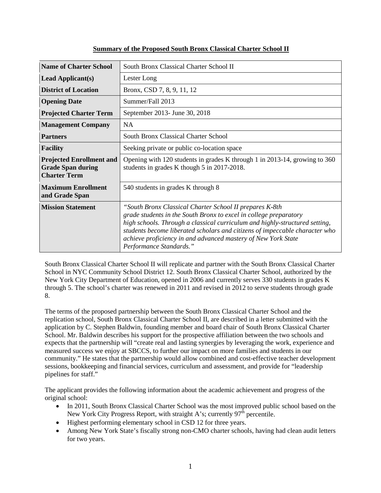| <b>Name of Charter School</b>                                                      | South Bronx Classical Charter School II                                                                                                                                                                                                                                                                                                                                                |  |  |  |  |
|------------------------------------------------------------------------------------|----------------------------------------------------------------------------------------------------------------------------------------------------------------------------------------------------------------------------------------------------------------------------------------------------------------------------------------------------------------------------------------|--|--|--|--|
| <b>Lead Applicant(s)</b>                                                           | Lester Long                                                                                                                                                                                                                                                                                                                                                                            |  |  |  |  |
| <b>District of Location</b>                                                        | Bronx, CSD 7, 8, 9, 11, 12                                                                                                                                                                                                                                                                                                                                                             |  |  |  |  |
| <b>Opening Date</b>                                                                | Summer/Fall 2013                                                                                                                                                                                                                                                                                                                                                                       |  |  |  |  |
| <b>Projected Charter Term</b>                                                      | September 2013- June 30, 2018                                                                                                                                                                                                                                                                                                                                                          |  |  |  |  |
| <b>Management Company</b>                                                          | <b>NA</b>                                                                                                                                                                                                                                                                                                                                                                              |  |  |  |  |
| <b>Partners</b>                                                                    | <b>South Bronx Classical Charter School</b>                                                                                                                                                                                                                                                                                                                                            |  |  |  |  |
| <b>Facility</b>                                                                    | Seeking private or public co-location space                                                                                                                                                                                                                                                                                                                                            |  |  |  |  |
| <b>Projected Enrollment and</b><br><b>Grade Span during</b><br><b>Charter Term</b> | Opening with 120 students in grades K through 1 in 2013-14, growing to 360<br>students in grades K though 5 in 2017-2018.                                                                                                                                                                                                                                                              |  |  |  |  |
| <b>Maximum Enrollment</b><br>and Grade Span                                        | 540 students in grades K through 8                                                                                                                                                                                                                                                                                                                                                     |  |  |  |  |
| <b>Mission Statement</b>                                                           | "South Bronx Classical Charter School II prepares K-8th<br>grade students in the South Bronx to excel in college preparatory<br>high schools. Through a classical curriculum and highly-structured setting,<br>students become liberated scholars and citizens of impeccable character who<br>achieve proficiency in and advanced mastery of New York State<br>Performance Standards." |  |  |  |  |

# **Summary of the Proposed South Bronx Classical Charter School II**

South Bronx Classical Charter School II will replicate and partner with the South Bronx Classical Charter School in NYC Community School District 12. South Bronx Classical Charter School, authorized by the New York City Department of Education, opened in 2006 and currently serves 330 students in grades K through 5. The school's charter was renewed in 2011 and revised in 2012 to serve students through grade 8.

The terms of the proposed partnership between the South Bronx Classical Charter School and the replication school, South Bronx Classical Charter School II, are described in a letter submitted with the application by C. Stephen Baldwin, founding member and board chair of South Bronx Classical Charter School. Mr. Baldwin describes his support for the prospective affiliation between the two schools and expects that the partnership will "create real and lasting synergies by leveraging the work, experience and measured success we enjoy at SBCCS, to further our impact on more families and students in our community." He states that the partnership would allow combined and cost-effective teacher development sessions, bookkeeping and financial services, curriculum and assessment, and provide for "leadership pipelines for staff."

The applicant provides the following information about the academic achievement and progress of the original school:

- In 2011, South Bronx Classical Charter School was the most improved public school based on the New York City Progress Report, with straight A's; currently  $97<sup>th</sup>$  percentile.
- Highest performing elementary school in CSD 12 for three years.
- Among New York State's fiscally strong non-CMO charter schools, having had clean audit letters for two years.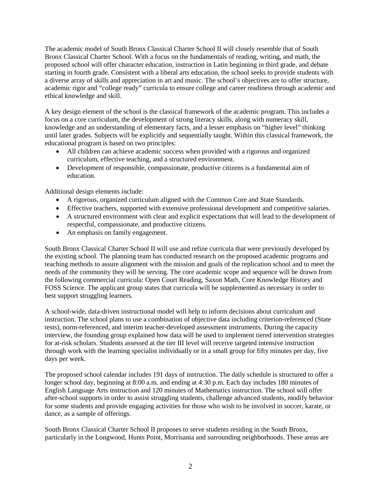The academic model of South Bronx Classical Charter School II will closely resemble that of South Bronx Classical Charter School. With a focus on the fundamentals of reading, writing, and math, the proposed school will offer character education, instruction in Latin beginning in third grade, and debate starting in fourth grade. Consistent with a liberal arts education, the school seeks to provide students with a diverse array of skills and appreciation in art and music. The school's objectives are to offer structure, academic rigor and "college ready" curricula to ensure college and career readiness through academic and ethical knowledge and skill.

A key design element of the school is the classical framework of the academic program. This includes a focus on a core curriculum, the development of strong literacy skills, along with numeracy skill, knowledge and an understanding of elementary facts, and a lesser emphasis on "higher level" thinking until later grades. Subjects will be explicitly and sequentially taught. Within this classical framework, the educational program is based on two principles:

- All children can achieve academic success when provided with a rigorous and organized curriculum, effective teaching, and a structured environment.
- Development of responsible, compassionate, productive citizens is a fundamental aim of education.

Additional design elements include:

- A rigorous, organized curriculum aligned with the Common Core and State Standards.
- Effective teachers, supported with extensive professional development and competitive salaries.
- A structured environment with clear and explicit expectations that will lead to the development of respectful, compassionate, and productive citizens.
- An emphasis on family engagement.

South Bronx Classical Charter School II will use and refine curricula that were previously developed by the existing school. The planning team has conducted research on the proposed academic programs and teaching methods to assure alignment with the mission and goals of the replication school and to meet the needs of the community they will be serving. The core academic scope and sequence will be drawn from the following commercial curricula: Open Court Reading, Saxon Math, Core Knowledge History and FOSS Science. The applicant group states that curricula will be supplemented as necessary in order to best support struggling learners.

A school-wide, data-driven instructional model will help to inform decisions about curriculum and instruction. The school plans to use a combination of objective data including criterion-referenced (State tests), norm-referenced, and interim teacher-developed assessment instruments. During the capacity interview, the founding group explained how data will be used to implement tiered intervention strategies for at-risk scholars. Students assessed at the tier III level will receive targeted intensive instruction through work with the learning specialist individually or in a small group for fifty minutes per day, five days per week.

The proposed school calendar includes 191 days of instruction. The daily schedule is structured to offer a longer school day, beginning at 8:00 a.m. and ending at 4:30 p.m. Each day includes 180 minutes of English Language Arts instruction and 120 minutes of Mathematics instruction. The school will offer after-school supports in order to assist struggling students, challenge advanced students, modify behavior for some students and provide engaging activities for those who wish to be involved in soccer, karate, or dance, as a sample of offerings.

South Bronx Classical Charter School II proposes to serve students residing in the South Bronx, particularly in the Longwood, Hunts Point, Morrisania and surrounding neighborhoods. These areas are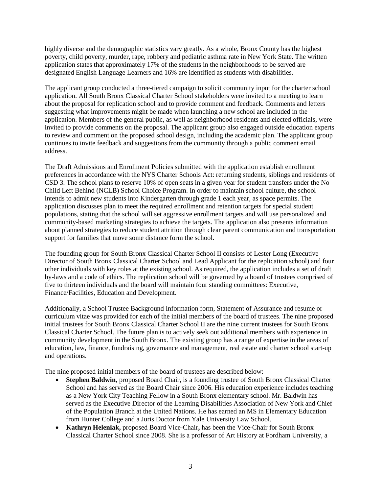highly diverse and the demographic statistics vary greatly. As a whole, Bronx County has the highest poverty, child poverty, murder, rape, robbery and pediatric asthma rate in New York State. The written application states that approximately 17% of the students in the neighborhoods to be served are designated English Language Learners and 16% are identified as students with disabilities.

The applicant group conducted a three-tiered campaign to solicit community input for the charter school application. All South Bronx Classical Charter School stakeholders were invited to a meeting to learn about the proposal for replication school and to provide comment and feedback. Comments and letters suggesting what improvements might be made when launching a new school are included in the application. Members of the general public, as well as neighborhood residents and elected officials, were invited to provide comments on the proposal. The applicant group also engaged outside education experts to review and comment on the proposed school design, including the academic plan. The applicant group continues to invite feedback and suggestions from the community through a public comment email address.

The Draft Admissions and Enrollment Policies submitted with the application establish enrollment preferences in accordance with the NYS Charter Schools Act: returning students, siblings and residents of CSD 3. The school plans to reserve 10% of open seats in a given year for student transfers under the No Child Left Behind (NCLB) School Choice Program. In order to maintain school culture, the school intends to admit new students into Kindergarten through grade 1 each year, as space permits. The application discusses plan to meet the required enrollment and retention targets for special student populations, stating that the school will set aggressive enrollment targets and will use personalized and community-based marketing strategies to achieve the targets. The application also presents information about planned strategies to reduce student attrition through clear parent communication and transportation support for families that move some distance form the school.

The founding group for South Bronx Classical Charter School II consists of Lester Long (Executive Director of South Bronx Classical Charter School and Lead Applicant for the replication school) and four other individuals with key roles at the existing school. As required, the application includes a set of draft by-laws and a code of ethics. The replication school will be governed by a board of trustees comprised of five to thirteen individuals and the board will maintain four standing committees: Executive, Finance/Facilities, Education and Development.

Additionally, a School Trustee Background Information form, Statement of Assurance and resume or curriculum vitae was provided for each of the initial members of the board of trustees. The nine proposed initial trustees for South Bronx Classical Charter School II are the nine current trustees for South Bronx Classical Charter School. The future plan is to actively seek out additional members with experience in community development in the South Bronx. The existing group has a range of expertise in the areas of education, law, finance, fundraising, governance and management, real estate and charter school start-up and operations.

The nine proposed initial members of the board of trustees are described below:

- **Stephen Baldwin**, proposed Board Chair, is a founding trustee of South Bronx Classical Charter School and has served as the Board Chair since 2006. His education experience includes teaching as a New York City Teaching Fellow in a South Bronx elementary school. Mr. Baldwin has served as the Executive Director of the Learning Disabilities Association of New York and Chief of the Population Branch at the United Nations. He has earned an MS in Elementary Education from Hunter College and a Juris Doctor from Yale University Law School.
- **Kathryn Heleniak,** proposed Board Vice-Chair**,** has been the Vice-Chair for South Bronx Classical Charter School since 2008. She is a professor of Art History at Fordham University, a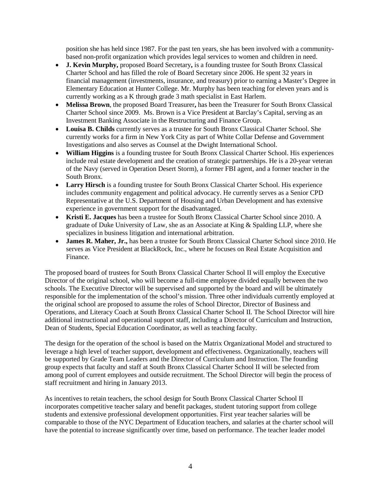position she has held since 1987. For the past ten years, she has been involved with a communitybased non-profit organization which provides legal services to women and children in need.

- **J. Kevin Murphy,** proposed Board Secretary**,** is a founding trustee for South Bronx Classical Charter School and has filled the role of Board Secretary since 2006. He spent 32 years in financial management (investments, insurance, and treasury) prior to earning a Master's Degree in Elementary Education at Hunter College. Mr. Murphy has been teaching for eleven years and is currently working as a K through grade 3 math specialist in East Harlem.
- **Melissa Brown**, the proposed Board Treasurer**,** has been the Treasurer for South Bronx Classical Charter School since 2009. Ms. Brown is a Vice President at Barclay's Capital, serving as an Investment Banking Associate in the Restructuring and Finance Group.
- **Louisa B. Childs** currently serves as a trustee for South Bronx Classical Charter School. She currently works for a firm in New York City as part of White Collar Defense and Government Investigations and also serves as Counsel at the Dwight International School.
- **William Higgins** is a founding trustee for South Bronx Classical Charter School. His experiences include real estate development and the creation of strategic partnerships. He is a 20-year veteran of the Navy (served in Operation Desert Storm), a former FBI agent, and a former teacher in the South Bronx.
- **Larry Hirsch** is a founding trustee for South Bronx Classical Charter School. His experience includes community engagement and political advocacy. He currently serves as a Senior CPD Representative at the U.S. Department of Housing and Urban Development and has extensive experience in government support for the disadvantaged.
- **Kristi E. Jacques** has been a trustee for South Bronx Classical Charter School since 2010. A graduate of Duke University of Law, she as an Associate at King & Spalding LLP, where she specializes in business litigation and international arbitration.
- **James R. Maher, Jr.,** has been a trustee for South Bronx Classical Charter School since 2010. He serves as Vice President at BlackRock, Inc., where he focuses on Real Estate Acquisition and Finance.

The proposed board of trustees for South Bronx Classical Charter School II will employ the Executive Director of the original school, who will become a full-time employee divided equally between the two schools. The Executive Director will be supervised and supported by the board and will be ultimately responsible for the implementation of the school's mission. Three other individuals currently employed at the original school are proposed to assume the roles of School Director, Director of Business and Operations, and Literacy Coach at South Bronx Classical Charter School II. The School Director will hire additional instructional and operational support staff, including a Director of Curriculum and Instruction, Dean of Students, Special Education Coordinator, as well as teaching faculty.

The design for the operation of the school is based on the Matrix Organizational Model and structured to leverage a high level of teacher support, development and effectiveness. Organizationally, teachers will be supported by Grade Team Leaders and the Director of Curriculum and Instruction. The founding group expects that faculty and staff at South Bronx Classical Charter School II will be selected from among pool of current employees and outside recruitment. The School Director will begin the process of staff recruitment and hiring in January 2013.

As incentives to retain teachers, the school design for South Bronx Classical Charter School II incorporates competitive teacher salary and benefit packages, student tutoring support from college students and extensive professional development opportunities. First year teacher salaries will be comparable to those of the NYC Department of Education teachers, and salaries at the charter school will have the potential to increase significantly over time, based on performance. The teacher leader model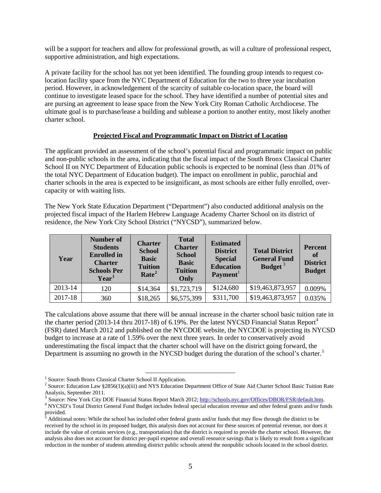will be a support for teachers and allow for professional growth, as will a culture of professional respect, supportive administration, and high expectations.

A private facility for the school has not yet been identified. The founding group intends to request colocation facility space from the NYC Department of Education for the two to three year incubation period. However, in acknowledgement of the scarcity of suitable co-location space, the board will continue to investigate leased space for the school. They have identified a number of potential sites and are pursing an agreement to lease space from the New York City Roman Catholic Archdiocese. The ultimate goal is to purchase/lease a building and sublease a portion to another entity, most likely another charter school.

### **Projected Fiscal and Programmatic Impact on District of Location**

The applicant provided an assessment of the school's potential fiscal and programmatic impact on public and non-public schools in the area, indicating that the fiscal impact of the South Bronx Classical Charter School II on NYC Department of Education public schools is expected to be nominal (less than .01% of the total NYC Department of Education budget). The impact on enrollment in public, parochial and charter schools in the area is expected to be insignificant, as most schools are either fully enrolled, overcapacity or with waiting lists.

The New York State Education Department ("Department") also conducted additional analysis on the projected fiscal impact of the Harlem Hebrew Language Academy Charter School on its district of residence, the New York City School District ("NYCSD"), summarized below.

| Year    | <b>Number of</b><br><b>Students</b><br><b>Enrolled</b> in<br><b>Charter</b><br><b>Schools Per</b><br>Year <sup>1</sup> | <b>Charter</b><br><b>School</b><br><b>Basic</b><br><b>Tuition</b><br>Rate <sup>2</sup> | <b>Total</b><br><b>Charter</b><br><b>School</b><br><b>Basic</b><br><b>Tuition</b><br>Only | <b>Estimated</b><br><b>District</b><br><b>Special</b><br><b>Education</b><br>Payment <sup>1</sup> | <b>Total District</b><br><b>General Fund</b><br>Budget <sup>3</sup> | <b>Percent</b><br>of<br><b>District</b><br><b>Budget</b> |
|---------|------------------------------------------------------------------------------------------------------------------------|----------------------------------------------------------------------------------------|-------------------------------------------------------------------------------------------|---------------------------------------------------------------------------------------------------|---------------------------------------------------------------------|----------------------------------------------------------|
| 2013-14 | 120                                                                                                                    | \$14,364                                                                               | \$1,723,719                                                                               | \$124,680                                                                                         | \$19,463,873,957                                                    | 0.009%                                                   |
| 2017-18 | 360                                                                                                                    | \$18,265                                                                               | \$6,575,399                                                                               | \$311,700                                                                                         | \$19,463,873,957                                                    | 0.035%                                                   |

The calculations above assume that there will be annual increase in the charter school basic tuition rate in the charter period (2013-1[4](#page-5-3) thru 2017-18) of 6.19%. Per the latest NYCSD Financial Status Report<sup>4</sup> (FSR) dated March 2012 and published on the NYCDOE website, the NYCDOE is projecting its NYCSD budget to increase at a rate of 1.59% over the next three years. In order to conservatively avoid underestimating the fiscal impact that the charter school will have on the district going forward, the Department is assuming no growth in the NYCSD budget during the duration of the school's charter.<sup>[5](#page-5-4)</sup>

<span id="page-5-1"></span><span id="page-5-0"></span><sup>&</sup>lt;sup>1</sup> Source: South Bronx Classical Charter School II Application.<br><sup>2</sup> Source: Education Law §2856(1)(a)(iii) and NYS Education Department Office of State Aid Charter School Basic Tuition Rate

<span id="page-5-3"></span>

<span id="page-5-2"></span>Analysis, September 2011.<br><sup>3</sup> Source: New York City DOE Financial Status Report March 2012; http://schools.nyc.gov/Offices/DBOR/FSR/default.htm.<br><sup>4</sup> NYCSD's Total District General Fund Budget includes federal special educa provided.

<span id="page-5-4"></span><sup>5</sup> Additional notes: While the school has included other federal grants and/or funds that may flow through the district to be received by the school in its proposed budget, this analysis does not account for these sources of potential revenue, nor does it include the value of certain services (e.g., transportation) that the district is required to provide the charter school. However, the analysis also does not account for district per-pupil expense and overall resource savings that is likely to result from a significant reduction in the number of students attending district public schools attend the nonpublic schools located in the school district.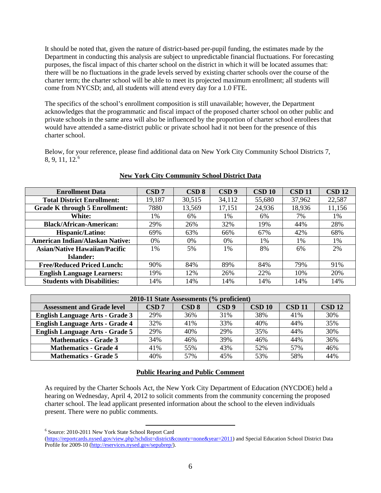It should be noted that, given the nature of district-based per-pupil funding, the estimates made by the Department in conducting this analysis are subject to unpredictable financial fluctuations. For forecasting purposes, the fiscal impact of this charter school on the district in which it will be located assumes that: there will be no fluctuations in the grade levels served by existing charter schools over the course of the charter term; the charter school will be able to meet its projected maximum enrollment; all students will come from NYCSD; and, all students will attend every day for a 1.0 FTE.

The specifics of the school's enrollment composition is still unavailable; however, the Department acknowledges that the programmatic and fiscal impact of the proposed charter school on other public and private schools in the same area will also be influenced by the proportion of charter school enrollees that would have attended a same-district public or private school had it not been for the presence of this charter school.

Below, for your reference, please find additional data on New York City Community School Districts 7,  $8, 9, 11, 12<sup>6</sup>$  $8, 9, 11, 12<sup>6</sup>$  $8, 9, 11, 12<sup>6</sup>$ 

| <b>Enrollment Data</b>                 | CSD 7  | CSD 8  | CSD <sub>9</sub> | <b>CSD 10</b> | <b>CSD 11</b> | <b>CSD 12</b> |
|----------------------------------------|--------|--------|------------------|---------------|---------------|---------------|
| <b>Total District Enrollment:</b>      | 19,187 | 30,515 | 34,112           | 55,680        | 37,962        | 22,587        |
| <b>Grade K through 5 Enrollment:</b>   | 7880   | 13,569 | 17,151           | 24,936        | 18,936        | 11,156        |
| White:                                 | 1%     | 6%     | 1%               | 6%            | 7%            | 1%            |
| <b>Black/African-American:</b>         | 29%    | 26%    | 32%              | 19%           | 44%           | 28%           |
| Hispanic/Latino:                       | 69%    | 63%    | 66%              | 67%           | 42%           | 68%           |
| <b>American Indian/Alaskan Native:</b> | $0\%$  | $0\%$  | $0\%$            | 1%            | $1\%$         | $1\%$         |
| <b>Asian/Native Hawaiian/Pacific</b>   | 1%     | 5%     | $1\%$            | 8%            | 6%            | 2%            |
| <b>Islander:</b>                       |        |        |                  |               |               |               |
| <b>Free/Reduced Priced Lunch:</b>      | 90%    | 84%    | 89%              | 84%           | 79%           | 91%           |
| <b>English Language Learners:</b>      | 19%    | 12%    | 26%              | 22%           | 10%           | 20%           |
| <b>Students with Disabilities:</b>     | 14%    | 14%    | 14%              | 14%           | 14%           | 14%           |

#### **New York City Community School District Data**

| 2010-11 State Assessments (% proficient) |       |                  |                  |        |               |                   |  |
|------------------------------------------|-------|------------------|------------------|--------|---------------|-------------------|--|
| <b>Assessment and Grade level</b>        | CSD 7 | CSD <sub>8</sub> | CSD <sub>9</sub> | CSD 10 | <b>CSD 11</b> | $\mathbf{CSD}$ 12 |  |
| <b>English Language Arts - Grade 3</b>   | 29%   | 36%              | 31%              | 38%    | 41%           | 30%               |  |
| <b>English Language Arts - Grade 4</b>   | 32%   | 41%              | 33%              | 40%    | 44%           | 35%               |  |
| <b>English Language Arts - Grade 5</b>   | 29%   | 40%              | 29%              | 35%    | 44%           | 30%               |  |
| <b>Mathematics - Grade 3</b>             | 34%   | 46%              | 39%              | 46%    | 44%           | 36%               |  |
| <b>Mathematics - Grade 4</b>             | 41%   | 55%              | 43%              | 52%    | 57%           | 46%               |  |
| <b>Mathematics - Grade 5</b>             | 40%   | 57%              | 45%              | 53%    | 58%           | 44%               |  |

# **Public Hearing and Public Comment**

As required by the Charter Schools Act, the New York City Department of Education (NYCDOE) held a hearing on Wednesday, April 4, 2012 to solicit comments from the community concerning the proposed charter school. The lead applicant presented information about the school to the eleven individuals present. There were no public comments.

<span id="page-6-0"></span><sup>6</sup> Source: 2010-2011 New York State School Report Card

[<sup>\(</sup>https://reportcards.nysed.gov/view.php?schdist=district&county=none&year=2011\)](https://reportcards.nysed.gov/view.php?schdist=district&county=none&year=2011) and Special Education School District Data Profile for 2009-10 [\(http://eservices.nysed.gov/sepubrep/\)](http://eservices.nysed.gov/sepubrep/).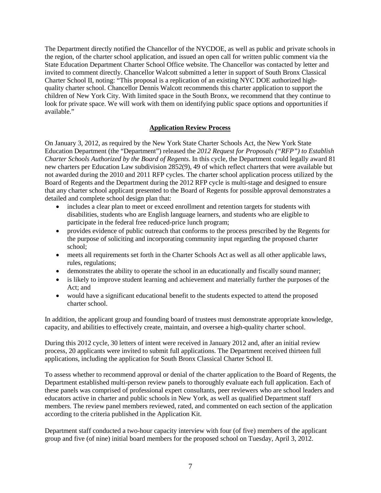The Department directly notified the Chancellor of the NYCDOE, as well as public and private schools in the region, of the charter school application, and issued an open call for written public comment via the State Education Department Charter School Office website. The Chancellor was contacted by letter and invited to comment directly. Chancellor Walcott submitted a letter in support of South Bronx Classical Charter School II, noting: "This proposal is a replication of an existing NYC DOE authorized highquality charter school. Chancellor Dennis Walcott recommends this charter application to support the children of New York City. With limited space in the South Bronx, we recommend that they continue to look for private space. We will work with them on identifying public space options and opportunities if available."

# **Application Review Process**

On January 3, 2012, as required by the New York State Charter Schools Act, the New York State Education Department (the "Department") released the *2012 Request for Proposals ("RFP") to Establish Charter Schools Authorized by the Board of Regents*. In this cycle, the Department could legally award 81 new charters per Education Law subdivision 2852(9), 49 of which reflect charters that were available but not awarded during the 2010 and 2011 RFP cycles. The charter school application process utilized by the Board of Regents and the Department during the 2012 RFP cycle is multi-stage and designed to ensure that any charter school applicant presented to the Board of Regents for possible approval demonstrates a detailed and complete school design plan that:

- includes a clear plan to meet or exceed enrollment and retention targets for students with disabilities, students who are English language learners, and students who are eligible to participate in the federal free reduced-price lunch program;
- provides evidence of public outreach that conforms to the process prescribed by the Regents for the purpose of soliciting and incorporating community input regarding the proposed charter school;
- meets all requirements set forth in the Charter Schools Act as well as all other applicable laws, rules, regulations;
- demonstrates the ability to operate the school in an educationally and fiscally sound manner;
- is likely to improve student learning and achievement and materially further the purposes of the Act; and
- would have a significant educational benefit to the students expected to attend the proposed charter school.

In addition, the applicant group and founding board of trustees must demonstrate appropriate knowledge, capacity, and abilities to effectively create, maintain, and oversee a high-quality charter school.

During this 2012 cycle, 30 letters of intent were received in January 2012 and, after an initial review process, 20 applicants were invited to submit full applications. The Department received thirteen full applications, including the application for South Bronx Classical Charter School II.

To assess whether to recommend approval or denial of the charter application to the Board of Regents, the Department established multi-person review panels to thoroughly evaluate each full application. Each of these panels was comprised of professional expert consultants, peer reviewers who are school leaders and educators active in charter and public schools in New York, as well as qualified Department staff members. The review panel members reviewed, rated, and commented on each section of the application according to the criteria published in the Application Kit.

Department staff conducted a two-hour capacity interview with four (of five) members of the applicant group and five (of nine) initial board members for the proposed school on Tuesday, April 3, 2012.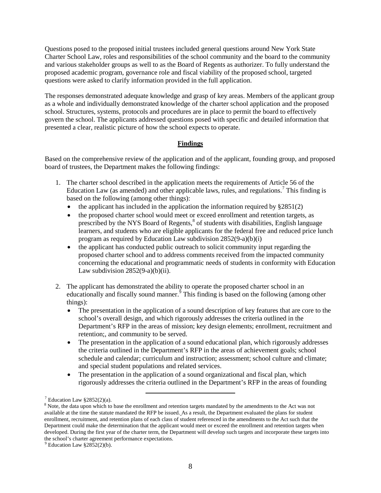Questions posed to the proposed initial trustees included general questions around New York State Charter School Law, roles and responsibilities of the school community and the board to the community and various stakeholder groups as well to as the Board of Regents as authorizer. To fully understand the proposed academic program, governance role and fiscal viability of the proposed school, targeted questions were asked to clarify information provided in the full application.

The responses demonstrated adequate knowledge and grasp of key areas. Members of the applicant group as a whole and individually demonstrated knowledge of the charter school application and the proposed school. Structures, systems, protocols and procedures are in place to permit the board to effectively govern the school. The applicants addressed questions posed with specific and detailed information that presented a clear, realistic picture of how the school expects to operate.

# **Findings**

Based on the comprehensive review of the application and of the applicant, founding group, and proposed board of trustees, the Department makes the following findings:

- 1. The charter school described in the application meets the requirements of Article 56 of the Education Law (as amended) and other applicable laws, rules, and regulations.<sup>[7](#page-8-0)</sup> This finding is based on the following (among other things):
	- the applicant has included in the application the information required by  $\S 2851(2)$
	- the proposed charter school would meet or exceed enrollment and retention targets, as prescribed by the NYS Board of Regents,  $\delta$  of students with disabilities, English language learners, and students who are eligible applicants for the federal free and reduced price lunch program as required by Education Law subdivision 2852(9-a)(b)(i)
	- the applicant has conducted public outreach to solicit community input regarding the proposed charter school and to address comments received from the impacted community concerning the educational and programmatic needs of students in conformity with Education Law subdivision  $2852(9-a)(b)(ii)$ .
- 2. The applicant has demonstrated the ability to operate the proposed charter school in an educationally and fiscally sound manner.<sup>§</sup> This finding is based on the following (among other things):
	- The presentation in the application of a sound description of key features that are core to the school's overall design, and which rigorously addresses the criteria outlined in the Department's RFP in the areas of mission; key design elements; enrollment, recruitment and retention;, and community to be served.
	- The presentation in the application of a sound educational plan, which rigorously addresses the criteria outlined in the Department's RFP in the areas of achievement goals; school schedule and calendar; curriculum and instruction; assessment; school culture and climate; and special student populations and related services.
	- The presentation in the application of a sound organizational and fiscal plan, which rigorously addresses the criteria outlined in the Department's RFP in the areas of founding

<sup>&</sup>lt;sup>7</sup> Education Law §2852(2)(a).

<span id="page-8-1"></span><span id="page-8-0"></span><sup>&</sup>lt;sup>8</sup> Note, the data upon which to base the enrollment and retention targets mandated by the amendments to the Act was not available at the time the statute mandated the RFP be issued. As a result, the Department evaluated the plans for student enrollment, recruitment, and retention plans of each class of student referenced in the amendments to the Act such that the Department could make the determination that the applicant would meet or exceed the enrollment and retention targets when developed. During the first year of the charter term, the Department will develop such targets and incorporate these targets into the school's charter agreement performance expectations.<br><sup>9</sup> Education Law §2852(2)(b).

<span id="page-8-2"></span>